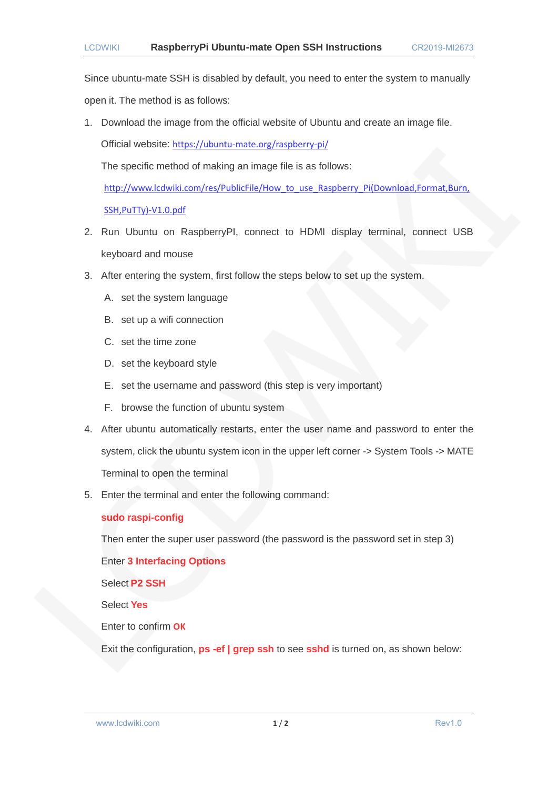Since ubuntu-mate SSH is disabled by default, you need to enter the system to manually open it. The method is as follows:

1. Download the image from the official website of Ubuntu and create an image file. Official website: <https://ubuntu-mate.org/raspberry-pi/>

The specific method of making an image file is as follows:

[http://www.lcdwiki.com/res/PublicFile/How\\_to\\_use\\_Raspberry\\_Pi\(Download,Format,Burn,](http://www.lcdwiki.com/res/PublicFile/How_to_use_Raspberry_Pi(Download,Format,Burn,SSH,PuTTy)-V1.0.pdf)

[SSH,PuTTy\)-V1.0.pdf](http://www.lcdwiki.com/res/PublicFile/How_to_use_Raspberry_Pi(Download,Format,Burn,SSH,PuTTy)-V1.0.pdf)

- 2. Run Ubuntu on RaspberryPI, connect to HDMI display terminal, connect USB keyboard and mouse
- 3. After entering the system, first follow the steps below to set up the system.
	- A. set the system language
	- B. set up a wifi connection
	- C. set the time zone
	- D. set the keyboard style
	- E. set the username and password (this step is very important)
	- F. browse the function of ubuntu system
- 4. After ubuntu automatically restarts, enter the user name and password to enter the system, click the ubuntu system icon in the upper left corner -> System Tools -> MATE Terminal to open the terminal
- 5. Enter the terminal and enter the following command:

## **sudo raspi-config**

Then enter the super user password (the password is the password set in step 3)

Enter **3 Interfacing Options**

Select **P2 SSH**

Select **Yes**

Enter to confirm **OK**

Exit the configuration, **ps -ef | grep ssh** to see **sshd** is turned on, as shown below:

www.lcdwiki.com **1/2 1/2** Rev1.0